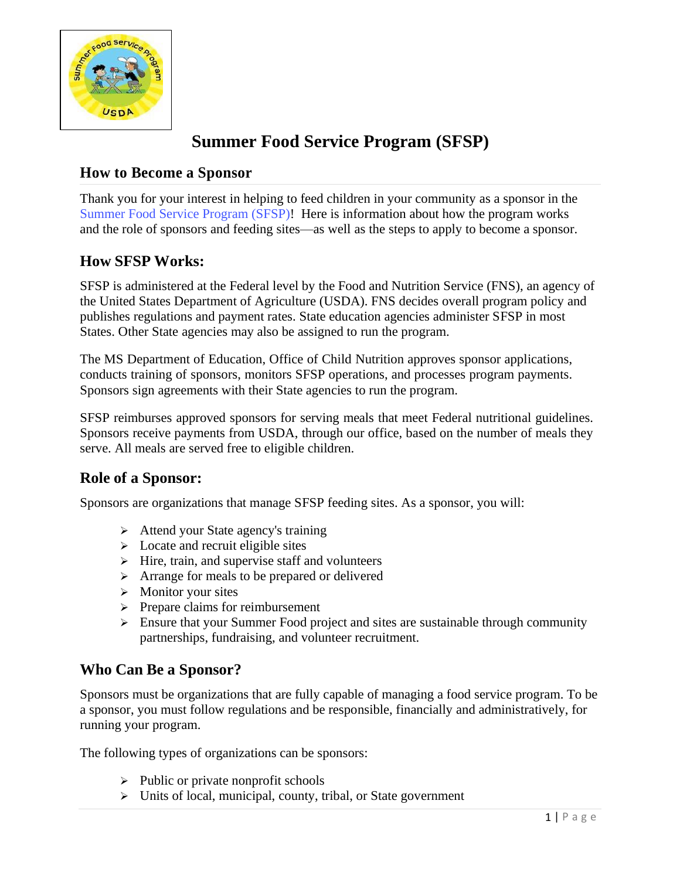

# **Summer Food Service Program (SFSP)**

## **How to Become a Sponsor**

Thank you for your interest in helping to feed children in your community as a sponsor in the [Summer Food Service Program \(SFSP\)!](https://www.fns.usda.gov/sfsp/summer-food-service-program) Here is information about how the program works and the role of sponsors and feeding sites—as well as the steps to apply to become a sponsor.

# **How SFSP Works:**

SFSP is administered at the Federal level by the Food and Nutrition Service (FNS), an agency of the United States Department of Agriculture (USDA). FNS decides overall program policy and publishes regulations and payment rates. State education agencies administer SFSP in most States. Other State agencies may also be assigned to run the program.

The MS Department of Education, Office of Child Nutrition approves sponsor applications, conducts training of sponsors, monitors SFSP operations, and processes program payments. Sponsors sign agreements with their State agencies to run the program.

SFSP reimburses approved sponsors for serving meals that meet Federal nutritional guidelines. Sponsors receive payments from USDA, through our office, based on the number of meals they serve. All meals are served free to eligible children.

# **Role of a Sponsor:**

Sponsors are organizations that manage SFSP feeding sites. As a sponsor, you will:

- ➢ Attend your State agency's training
- $\triangleright$  Locate and recruit eligible sites
- ➢ Hire, train, and supervise staff and volunteers
- ➢ Arrange for meals to be prepared or delivered
- ➢ Monitor your sites
- ➢ Prepare claims for reimbursement
- ➢ Ensure that your Summer Food project and sites are sustainable through community partnerships, fundraising, and volunteer recruitment.

#### **Who Can Be a Sponsor?**

Sponsors must be organizations that are fully capable of managing a food service program. To be a sponsor, you must follow regulations and be responsible, financially and administratively, for running your program.

The following types of organizations can be sponsors:

- $\triangleright$  Public or private nonprofit schools
- ➢ Units of local, municipal, county, tribal, or State government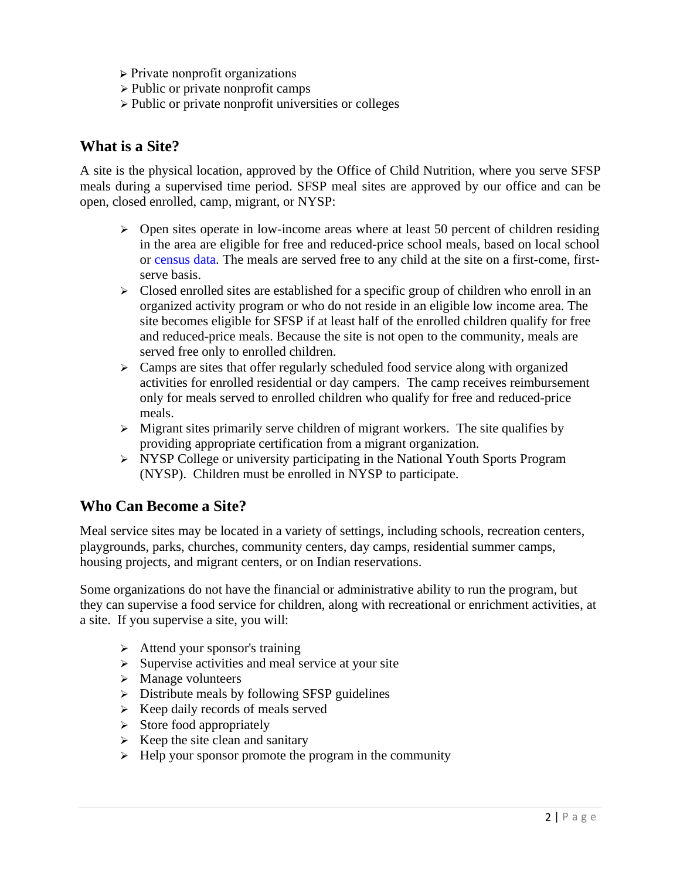- ➢ Private nonprofit organizations
- ➢ Public or private nonprofit camps
- ➢ Public or private nonprofit universities or colleges

#### **What is a Site?**

A site is the physical location, approved by the Office of Child Nutrition, where you serve SFSP meals during a supervised time period. SFSP meal sites are approved by our office and can be open, closed enrolled, camp, migrant, or NYSP:

- $\triangleright$  Open sites operate in low-income areas where at least 50 percent of children residing in the area are eligible for free and reduced-price school meals, based on local school or [census data.](http://www.fairdata2000.com/SummerFood) The meals are served free to any child at the site on a first-come, firstserve basis.
- ➢ Closed enrolled sites are established for a specific group of children who enroll in an organized activity program or who do not reside in an eligible low income area. The site becomes eligible for SFSP if at least half of the enrolled children qualify for free and reduced-price meals. Because the site is not open to the community, meals are served free only to enrolled children.
- $\triangleright$  Camps are sites that offer regularly scheduled food service along with organized activities for enrolled residential or day campers. The camp receives reimbursement only for meals served to enrolled children who qualify for free and reduced-price meals.
- $\triangleright$  Migrant sites primarily serve children of migrant workers. The site qualifies by providing appropriate certification from a migrant organization.
- ➢ NYSP College or university participating in the National Youth Sports Program (NYSP). Children must be enrolled in NYSP to participate.

#### **Who Can Become a Site?**

Meal service sites may be located in a variety of settings, including schools, recreation centers, playgrounds, parks, churches, community centers, day camps, residential summer camps, housing projects, and migrant centers, or on Indian reservations.

Some organizations do not have the financial or administrative ability to run the program, but they can supervise a food service for children, along with recreational or enrichment activities, at a site. If you supervise a site, you will:

- $\triangleright$  Attend your sponsor's training
- $\triangleright$  Supervise activities and meal service at your site
- ➢ Manage volunteers
- ➢ Distribute meals by following SFSP guidelines
- $\triangleright$  Keep daily records of meals served
- $\triangleright$  Store food appropriately
- $\triangleright$  Keep the site clean and sanitary
- $\triangleright$  Help your sponsor promote the program in the community